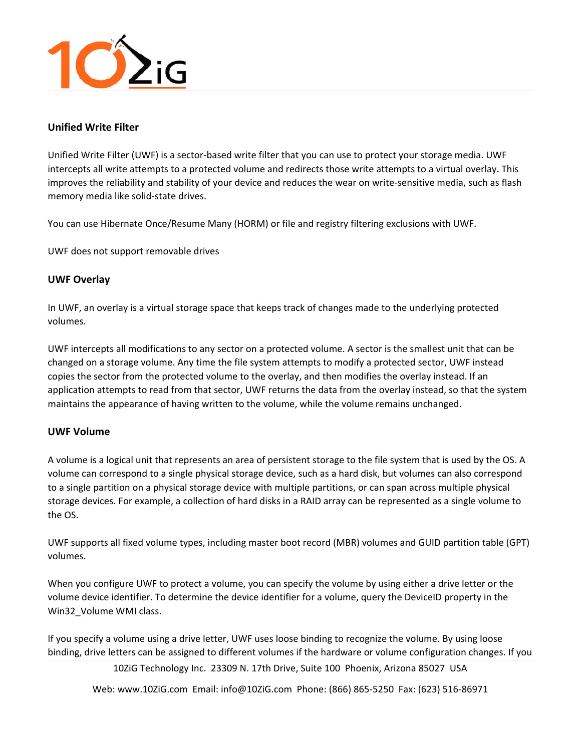

# **Unified Write Filter**

Unified Write Filter (UWF) is a sector‐based write filter that you can use to protect your storage media. UWF intercepts all write attempts to a protected volume and redirects those write attempts to a virtual overlay. This improves the reliability and stability of your device and reduces the wear on write-sensitive media, such as flash memory media like solid‐state drives.

You can use Hibernate Once/Resume Many (HORM) or file and registry filtering exclusions with UWF.

UWF does not support removable drives

# **UWF Overlay**

In UWF, an overlay is a virtual storage space that keeps track of changes made to the underlying protected volumes.

UWF intercepts all modifications to any sector on a protected volume. A sector is the smallest unit that can be changed on a storage volume. Any time the file system attempts to modify a protected sector, UWF instead copies the sector from the protected volume to the overlay, and then modifies the overlay instead. If an application attempts to read from that sector, UWF returns the data from the overlay instead, so that the system maintains the appearance of having written to the volume, while the volume remains unchanged.

### **UWF Volume**

A volume is a logical unit that represents an area of persistent storage to the file system that is used by the OS. A volume can correspond to a single physical storage device, such as a hard disk, but volumes can also correspond to a single partition on a physical storage device with multiple partitions, or can span across multiple physical storage devices. For example, a collection of hard disks in a RAID array can be represented as a single volume to the OS.

UWF supports all fixed volume types, including master boot record (MBR) volumes and GUID partition table (GPT) volumes.

When you configure UWF to protect a volume, you can specify the volume by using either a drive letter or the volume device identifier. To determine the device identifier for a volume, query the DeviceID property in the Win32\_Volume WMI class.

If you specify a volume using a drive letter, UWF uses loose binding to recognize the volume. By using loose binding, drive letters can be assigned to different volumes if the hardware or volume configuration changes. If you

10ZiG Technology Inc. 23309 N. 17th Drive, Suite 100 Phoenix, Arizona 85027 USA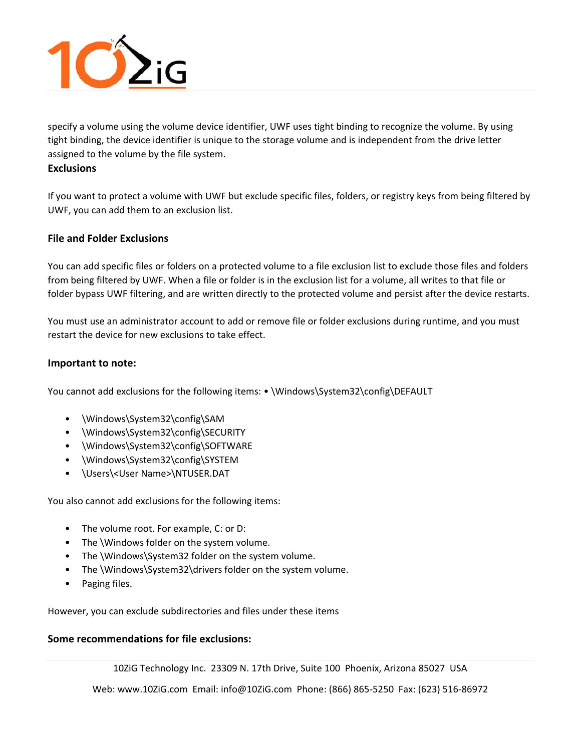

specify a volume using the volume device identifier, UWF uses tight binding to recognize the volume. By using tight binding, the device identifier is unique to the storage volume and is independent from the drive letter assigned to the volume by the file system.

### **Exclusions**

If you want to protect a volume with UWF but exclude specific files, folders, or registry keys from being filtered by UWF, you can add them to an exclusion list.

# **File and Folder Exclusions**

You can add specific files or folders on a protected volume to a file exclusion list to exclude those files and folders from being filtered by UWF. When a file or folder is in the exclusion list for a volume, all writes to that file or folder bypass UWF filtering, and are written directly to the protected volume and persist after the device restarts.

You must use an administrator account to add or remove file or folder exclusions during runtime, and you must restart the device for new exclusions to take effect.

# **Important to note:**

You cannot add exclusions for the following items: • \Windows\System32\config\DEFAULT

- \Windows\System32\config\SAM
- \Windows\System32\config\SECURITY
- \Windows\System32\config\SOFTWARE
- \Windows\System32\config\SYSTEM
- \Users\<User Name>\NTUSER.DAT

You also cannot add exclusions for the following items:

- The volume root. For example, C: or D:
- The \Windows folder on the system volume.
- The \Windows\System32 folder on the system volume.
- The \Windows\System32\drivers folder on the system volume.
- Paging files.

However, you can exclude subdirectories and files under these items

# **Some recommendations for file exclusions:**

10ZiG Technology Inc. 23309 N. 17th Drive, Suite 100 Phoenix, Arizona 85027 USA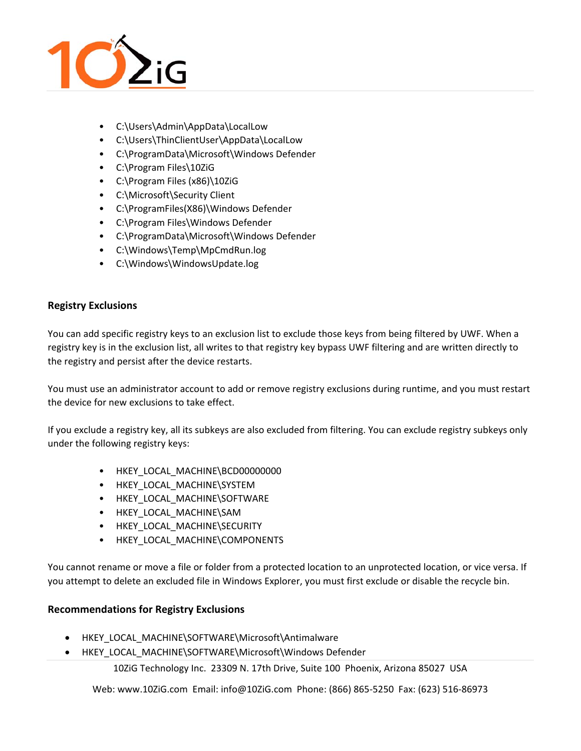

- C:\Users\Admin\AppData\LocalLow
- C:\Users\ThinClientUser\AppData\LocalLow
- C:\ProgramData\Microsoft\Windows Defender
- C:\Program Files\10ZiG
- C:\Program Files (x86)\10ZiG
- C:\Microsoft\Security Client
- C:\ProgramFiles(X86)\Windows Defender
- C:\Program Files\Windows Defender
- C:\ProgramData\Microsoft\Windows Defender
- C:\Windows\Temp\MpCmdRun.log
- C:\Windows\WindowsUpdate.log

# **Registry Exclusions**

You can add specific registry keys to an exclusion list to exclude those keys from being filtered by UWF. When a registry key is in the exclusion list, all writes to that registry key bypass UWF filtering and are written directly to the registry and persist after the device restarts.

You must use an administrator account to add or remove registry exclusions during runtime, and you must restart the device for new exclusions to take effect.

If you exclude a registry key, all its subkeys are also excluded from filtering. You can exclude registry subkeys only under the following registry keys:

- HKEY LOCAL MACHINE\BCD00000000
- HKEY\_LOCAL\_MACHINE\SYSTEM
- HKEY\_LOCAL\_MACHINE\SOFTWARE
- HKEY\_LOCAL\_MACHINE\SAM
- HKEY\_LOCAL\_MACHINE\SECURITY
- HKEY\_LOCAL\_MACHINE\COMPONENTS

You cannot rename or move a file or folder from a protected location to an unprotected location, or vice versa. If you attempt to delete an excluded file in Windows Explorer, you must first exclude or disable the recycle bin.

# **Recommendations for Registry Exclusions**

- HKEY\_LOCAL\_MACHINE\SOFTWARE\Microsoft\Antimalware
- HKEY\_LOCAL\_MACHINE\SOFTWARE\Microsoft\Windows Defender

10ZiG Technology Inc. 23309 N. 17th Drive, Suite 100 Phoenix, Arizona 85027 USA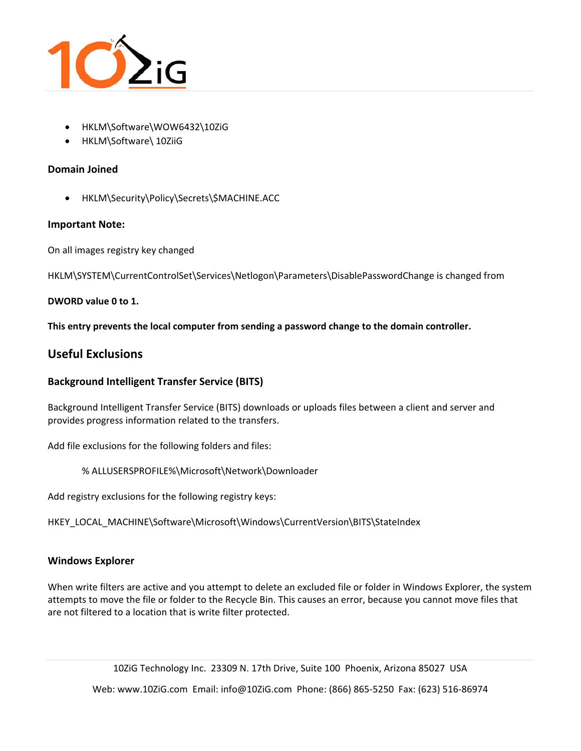

- HKLM\Software\WOW6432\10ZiG
- HKLM\Software\ 10ZiiG

# **Domain Joined**

HKLM\Security\Policy\Secrets\\$MACHINE.ACC

# **Important Note:**

On all images registry key changed

HKLM\SYSTEM\CurrentControlSet\Services\Netlogon\Parameters\DisablePasswordChange is changed from

### **DWORD value 0 to 1.**

**This entry prevents the local computer from sending a password change to the domain controller.** 

# **Useful Exclusions**

# **Background Intelligent Transfer Service (BITS)**

Background Intelligent Transfer Service (BITS) downloads or uploads files between a client and server and provides progress information related to the transfers.

Add file exclusions for the following folders and files:

% ALLUSERSPROFILE%\Microsoft\Network\Downloader

Add registry exclusions for the following registry keys:

HKEY\_LOCAL\_MACHINE\Software\Microsoft\Windows\CurrentVersion\BITS\StateIndex

# **Windows Explorer**

When write filters are active and you attempt to delete an excluded file or folder in Windows Explorer, the system attempts to move the file or folder to the Recycle Bin. This causes an error, because you cannot move files that are not filtered to a location that is write filter protected.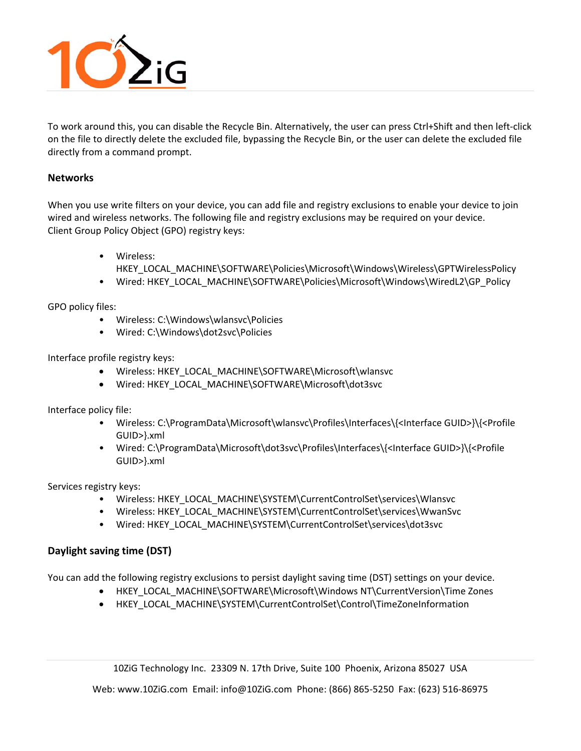

To work around this, you can disable the Recycle Bin. Alternatively, the user can press Ctrl+Shift and then left‐click on the file to directly delete the excluded file, bypassing the Recycle Bin, or the user can delete the excluded file directly from a command prompt.

# **Networks**

When you use write filters on your device, you can add file and registry exclusions to enable your device to join wired and wireless networks. The following file and registry exclusions may be required on your device. Client Group Policy Object (GPO) registry keys:

- Wireless:
- HKEY\_LOCAL\_MACHINE\SOFTWARE\Policies\Microsoft\Windows\Wireless\GPTWirelessPolicy
- Wired: HKEY\_LOCAL\_MACHINE\SOFTWARE\Policies\Microsoft\Windows\WiredL2\GP\_Policy

GPO policy files:

- Wireless: C:\Windows\wlansvc\Policies
- Wired: C:\Windows\dot2svc\Policies

Interface profile registry keys:

- Wireless: HKEY\_LOCAL\_MACHINE\SOFTWARE\Microsoft\wlansvc
- Wired: HKEY\_LOCAL\_MACHINE\SOFTWARE\Microsoft\dot3svc

Interface policy file:

- Wireless: C:\ProgramData\Microsoft\wlansvc\Profiles\Interfaces\{<Interface GUID>}\{<Profile GUID>}.xml
- Wired: C:\ProgramData\Microsoft\dot3svc\Profiles\Interfaces\{<Interface GUID>}\{<Profile GUID>}.xml

Services registry keys:

- Wireless: HKEY\_LOCAL\_MACHINE\SYSTEM\CurrentControlSet\services\Wlansvc
- Wireless: HKEY\_LOCAL\_MACHINE\SYSTEM\CurrentControlSet\services\WwanSvc
- Wired: HKEY\_LOCAL\_MACHINE\SYSTEM\CurrentControlSet\services\dot3svc

# **Daylight saving time (DST)**

You can add the following registry exclusions to persist daylight saving time (DST) settings on your device.

- HKEY\_LOCAL\_MACHINE\SOFTWARE\Microsoft\Windows NT\CurrentVersion\Time Zones
- HKEY\_LOCAL\_MACHINE\SYSTEM\CurrentControlSet\Control\TimeZoneInformation

10ZiG Technology Inc. 23309 N. 17th Drive, Suite 100 Phoenix, Arizona 85027 USA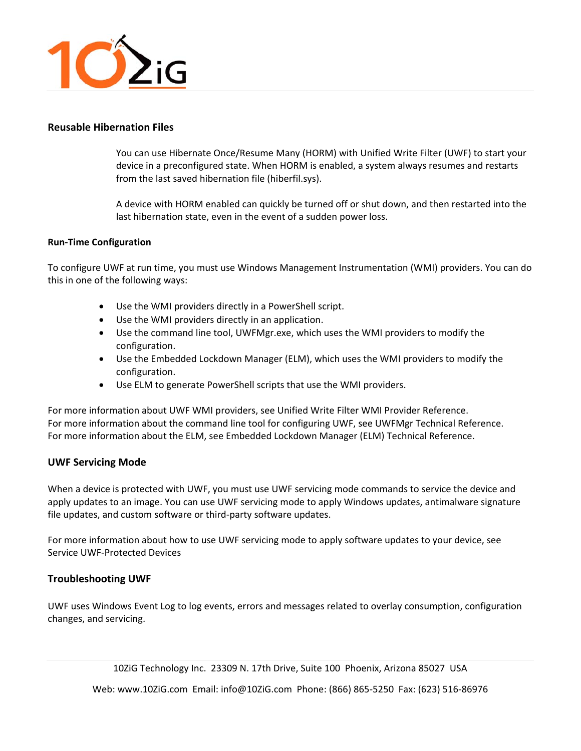

### **Reusable Hibernation Files**

You can use Hibernate Once/Resume Many (HORM) with Unified Write Filter (UWF) to start your device in a preconfigured state. When HORM is enabled, a system always resumes and restarts from the last saved hibernation file (hiberfil.sys).

A device with HORM enabled can quickly be turned off or shut down, and then restarted into the last hibernation state, even in the event of a sudden power loss.

#### **Run‐Time Configuration**

To configure UWF at run time, you must use Windows Management Instrumentation (WMI) providers. You can do this in one of the following ways:

- Use the WMI providers directly in a PowerShell script.
- Use the WMI providers directly in an application.
- Use the command line tool, UWFMgr.exe, which uses the WMI providers to modify the configuration.
- Use the Embedded Lockdown Manager (ELM), which uses the WMI providers to modify the configuration.
- Use ELM to generate PowerShell scripts that use the WMI providers.

For more information about UWF WMI providers, see Unified Write Filter WMI Provider Reference. For more information about the command line tool for configuring UWF, see UWFMgr Technical Reference. For more information about the ELM, see Embedded Lockdown Manager (ELM) Technical Reference.

### **UWF Servicing Mode**

When a device is protected with UWF, you must use UWF servicing mode commands to service the device and apply updates to an image. You can use UWF servicing mode to apply Windows updates, antimalware signature file updates, and custom software or third‐party software updates.

For more information about how to use UWF servicing mode to apply software updates to your device, see Service UWF‐Protected Devices

### **Troubleshooting UWF**

UWF uses Windows Event Log to log events, errors and messages related to overlay consumption, configuration changes, and servicing.